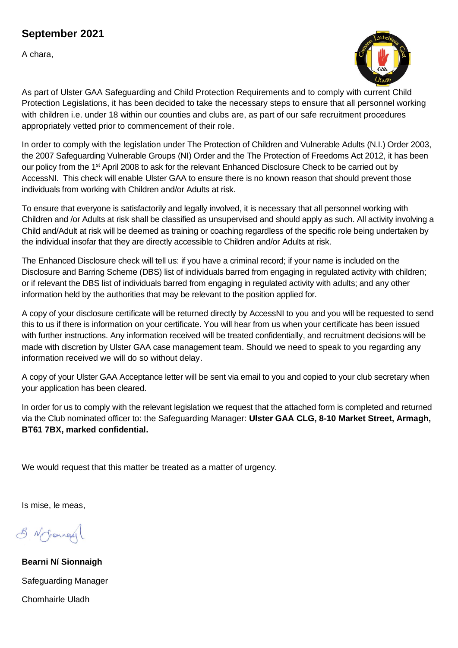## **September 2021**

A chara,



As part of Ulster GAA Safeguarding and Child Protection Requirements and to comply with current Child Protection Legislations, it has been decided to take the necessary steps to ensure that all personnel working with children i.e. under 18 within our counties and clubs are, as part of our safe recruitment procedures appropriately vetted prior to commencement of their role.

In order to comply with the legislation under The Protection of Children and Vulnerable Adults (N.I.) Order 2003, the 2007 Safeguarding Vulnerable Groups (NI) Order and the The Protection of Freedoms Act 2012, it has been our policy from the 1<sup>st</sup> April 2008 to ask for the relevant Enhanced Disclosure Check to be carried out by AccessNI. This check will enable Ulster GAA to ensure there is no known reason that should prevent those individuals from working with Children and/or Adults at risk.

To ensure that everyone is satisfactorily and legally involved, it is necessary that all personnel working with Children and /or Adults at risk shall be classified as unsupervised and should apply as such. All activity involving a Child and/Adult at risk will be deemed as training or coaching regardless of the specific role being undertaken by the individual insofar that they are directly accessible to Children and/or Adults at risk.

The Enhanced Disclosure check will tell us: if you have a criminal record; if your name is included on the Disclosure and Barring Scheme (DBS) list of individuals barred from engaging in regulated activity with children; or if relevant the DBS list of individuals barred from engaging in regulated activity with adults; and any other information held by the authorities that may be relevant to the position applied for.

A copy of your disclosure certificate will be returned directly by AccessNI to you and you will be requested to send this to us if there is information on your certificate. You will hear from us when your certificate has been issued with further instructions. Any information received will be treated confidentially, and recruitment decisions will be made with discretion by Ulster GAA case management team. Should we need to speak to you regarding any information received we will do so without delay.

A copy of your Ulster GAA Acceptance letter will be sent via email to you and copied to your club secretary when your application has been cleared.

In order for us to comply with the relevant legislation we request that the attached form is completed and returned via the Club nominated officer to: the Safeguarding Manager: **Ulster GAA CLG, 8-10 Market Street, Armagh, BT61 7BX, marked confidential.**

We would request that this matter be treated as a matter of urgency.

Is mise, le meas,

8 No Granage

**Bearni Ní Sionnaigh** Safeguarding Manager Chomhairle Uladh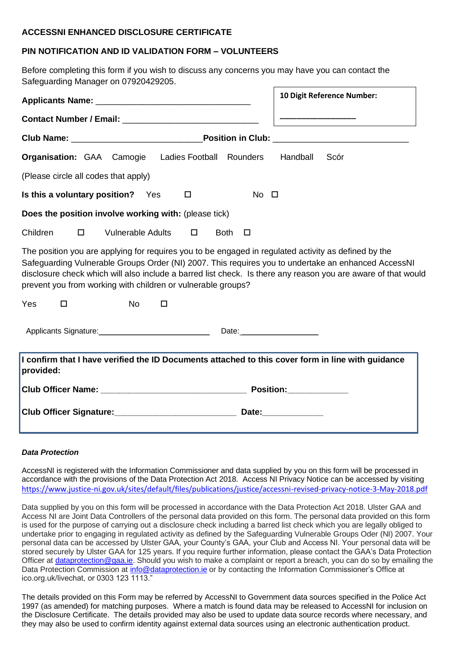#### **ACCESSNI ENHANCED DISCLOSURE CERTIFICATE**

### **PIN NOTIFICATION AND ID VALIDATION FORM – VOLUNTEERS**

Before completing this form if you wish to discuss any concerns you may have you can contact the Safeguarding Manager on 07920429205.

|                                                                                                                                                                                                                                                                                                                                                                                              | 10 Digit Reference Number: |  |  |  |  |
|----------------------------------------------------------------------------------------------------------------------------------------------------------------------------------------------------------------------------------------------------------------------------------------------------------------------------------------------------------------------------------------------|----------------------------|--|--|--|--|
|                                                                                                                                                                                                                                                                                                                                                                                              |                            |  |  |  |  |
|                                                                                                                                                                                                                                                                                                                                                                                              |                            |  |  |  |  |
| <b>Organisation:</b> GAA Camogie Ladies Football Rounders                                                                                                                                                                                                                                                                                                                                    | Handball<br>Scór           |  |  |  |  |
| (Please circle all codes that apply)                                                                                                                                                                                                                                                                                                                                                         |                            |  |  |  |  |
| Is this a voluntary position? Yes<br>$No$ $\Box$<br>$\Box$                                                                                                                                                                                                                                                                                                                                   |                            |  |  |  |  |
| Does the position involve working with: (please tick)                                                                                                                                                                                                                                                                                                                                        |                            |  |  |  |  |
| Children<br><b>Vulnerable Adults</b><br>$\Box$<br>$\Box$<br>Both $\Box$                                                                                                                                                                                                                                                                                                                      |                            |  |  |  |  |
| The position you are applying for requires you to be engaged in regulated activity as defined by the<br>Safeguarding Vulnerable Groups Order (NI) 2007. This requires you to undertake an enhanced AccessNI<br>disclosure check which will also include a barred list check. Is there any reason you are aware of that would<br>prevent you from working with children or vulnerable groups? |                            |  |  |  |  |
| Yes<br><b>No</b><br>$\Box$<br>$\Box$                                                                                                                                                                                                                                                                                                                                                         |                            |  |  |  |  |
| Applicants Signature:                                                                                                                                                                                                                                                                                                                                                                        |                            |  |  |  |  |
| I confirm that I have verified the ID Documents attached to this cover form in line with guidance<br>provided:                                                                                                                                                                                                                                                                               |                            |  |  |  |  |
|                                                                                                                                                                                                                                                                                                                                                                                              | <b>Position: Position:</b> |  |  |  |  |
|                                                                                                                                                                                                                                                                                                                                                                                              |                            |  |  |  |  |

#### *Data Protection*

AccessNI is registered with the Information Commissioner and data supplied by you on this form will be processed in accordance with the provisions of the Data Protection Act 2018. Access NI Privacy Notice can be accessed by visiting <https://www.justice-ni.gov.uk/sites/default/files/publications/justice/accessni-revised-privacy-notice-3-May-2018.pdf>

Data supplied by you on this form will be processed in accordance with the Data Protection Act 2018. Ulster GAA and Access NI are Joint Data Controllers of the personal data provided on this form. The personal data provided on this form is used for the purpose of carrying out a disclosure check including a barred list check which you are legally obliged to undertake prior to engaging in regulated activity as defined by the Safeguarding Vulnerable Groups Oder (NI) 2007. Your personal data can be accessed by Ulster GAA, your County's GAA, your Club and Access NI. Your personal data will be stored securely by Ulster GAA for 125 years. If you require further information, please contact the GAA's Data Protection Officer at [dataprotection@gaa.ie.](mailto:dataprotection@gaa.ie) Should you wish to make a complaint or report a breach, you can do so by emailing the Data Protection Commission at info@dataprotection.je or by contacting the Information Commissioner's Office at ico.org.uk/livechat, or 0303 123 1113."

The details provided on this Form may be referred by AccessNI to Government data sources specified in the Police Act 1997 (as amended) for matching purposes. Where a match is found data may be released to AccessNI for inclusion on the Disclosure Certificate. The details provided may also be used to update data source records where necessary, and they may also be used to confirm identity against external data sources using an electronic authentication product.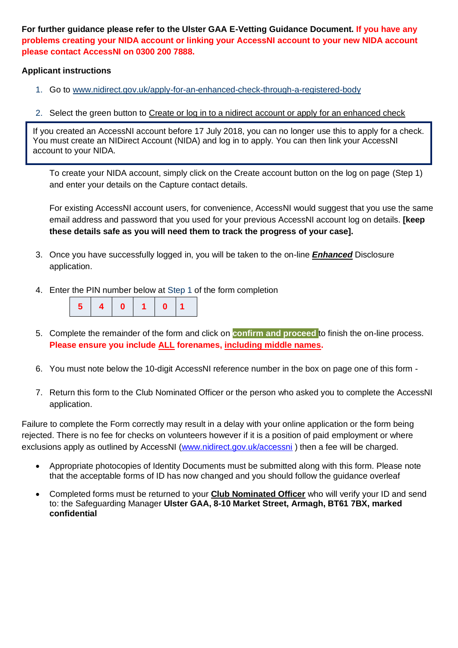**For further guidance please refer to the Ulster GAA E-Vetting Guidance Document. If you have any problems creating your NIDA account or linking your AccessNI account to your new NIDA account please contact AccessNI on 0300 200 7888.**

#### **Applicant instructions**

- 1. Go to [www.nidirect.gov.uk/apply-for-an-enhanced-check-through-a-registered-body](http://www.nidirect.gov.uk/apply-for-an-enhanced-check-through-a-registered-body)
- 2. Select the green button to Create or log in to a nidirect account or apply for an enhanced check

If you created an AccessNI account before 17 July 2018, you can no longer use this to apply for a check. You must create an NIDirect Account (NIDA) and log in to apply. You can then link your AccessNI account to your NIDA.

To create your NIDA account, simply click on the Create account button on the log on page (Step 1) and enter your details on the Capture contact details.

For existing AccessNI account users, for convenience, AccessNI would suggest that you use the same email address and password that you used for your previous AccessNI account log on details. **[keep these details safe as you will need them to track the progress of your case].**

- 3. Once you have successfully logged in, you will be taken to the on-line *Enhanced* Disclosure application.
- 4. Enter the PIN number below at Step 1 of the form completion



- 5. Complete the remainder of the form and click on **confirm and proceed** to finish the on-line process. **Please ensure you include ALL forenames, including middle names.**
- 6. You must note below the 10-digit AccessNI reference number in the box on page one of this form -
- 7. Return this form to the Club Nominated Officer or the person who asked you to complete the AccessNI application.

Failure to complete the Form correctly may result in a delay with your online application or the form being rejected. There is no fee for checks on volunteers however if it is a position of paid employment or where exclusions apply as outlined by AccessNI [\(www.nidirect.gov.uk/accessni](http://www.nidirect.gov.uk/accessni)) then a fee will be charged.

- Appropriate photocopies of Identity Documents must be submitted along with this form. Please note that the acceptable forms of ID has now changed and you should follow the guidance overleaf
- Completed forms must be returned to your **Club Nominated Officer** who will verify your ID and send to: the Safeguarding Manager **Ulster GAA, 8-10 Market Street, Armagh, BT61 7BX, marked confidential**